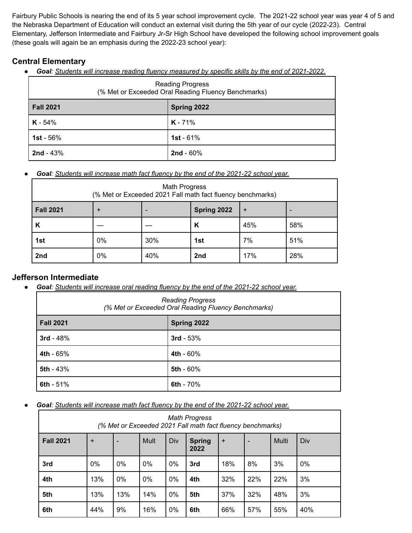Fairbury Public Schools is nearing the end of its 5 year school improvement cycle. The 2021-22 school year was year 4 of 5 and the Nebraska Department of Education will conduct an external visit during the 5th year of our cycle (2022-23). Central Elementary, Jefferson Intermediate and Fairbury Jr-Sr High School have developed the following school improvement goals (these goals will again be an emphasis during the 2022-23 school year):

# **Central Elementary**

● *Goal: Students will increase reading fluency measured by specific skills by the end of 2021-2022.*

| <b>Reading Progress</b><br>(% Met or Exceeded Oral Reading Fluency Benchmarks) |                     |  |  |  |
|--------------------------------------------------------------------------------|---------------------|--|--|--|
| <b>Fall 2021</b>                                                               | Spring 2022         |  |  |  |
| $K - 54%$                                                                      | $K - 71%$           |  |  |  |
| 1st - $56%$                                                                    | 1st - $61%$         |  |  |  |
| $2nd - 43%$                                                                    | <b>2nd</b> - $60\%$ |  |  |  |

### ● *Goal: Students will increase math fact fluency by the end of the 2021-22 school year.*

| <b>Math Progress</b><br>(% Met or Exceeded 2021 Fall math fact fluency benchmarks) |             |     |             |     |     |  |
|------------------------------------------------------------------------------------|-------------|-----|-------------|-----|-----|--|
| <b>Fall 2021</b>                                                                   | $\mathbf +$ |     | Spring 2022 | $+$ |     |  |
| К                                                                                  |             |     | К           | 45% | 58% |  |
| 1st                                                                                | 0%          | 30% | 1st         | 7%  | 51% |  |
| 2nd                                                                                | 0%          | 40% | 2nd         | 17% | 28% |  |

## **Jefferson Intermediate**

● *Goal: Students will increase oral reading fluency by the end of the 2021-22 school year.*

| <b>Reading Progress</b><br>(% Met or Exceeded Oral Reading Fluency Benchmarks) |             |  |  |  |
|--------------------------------------------------------------------------------|-------------|--|--|--|
| <b>Fall 2021</b>                                                               | Spring 2022 |  |  |  |
| $3rd - 48%$                                                                    | $3rd - 53%$ |  |  |  |
| 4th - 65%                                                                      | 4th - 60%   |  |  |  |
| 5th - 43%                                                                      | 5th - 60%   |  |  |  |
| 6th - $51%$                                                                    | 6th - 70%   |  |  |  |

### ● *Goal: Students will increase math fact fluency by the end of the 2021-22 school year.*

| <b>Math Progress</b><br>(% Met or Exceeded 2021 Fall math fact fluency benchmarks) |           |                          |      |     |                       |           |                          |       |     |
|------------------------------------------------------------------------------------|-----------|--------------------------|------|-----|-----------------------|-----------|--------------------------|-------|-----|
| <b>Fall 2021</b>                                                                   | $\ddot{}$ | $\overline{\phantom{0}}$ | Mult | Div | <b>Spring</b><br>2022 | $\ddot{}$ | $\overline{\phantom{a}}$ | Multi | Div |
| 3rd                                                                                | 0%        | 0%                       | 0%   | 0%  | 3rd                   | 18%       | 8%                       | 3%    | 0%  |
| 4th                                                                                | 13%       | 0%                       | 0%   | 0%  | 4th                   | 32%       | 22%                      | 22%   | 3%  |
| 5th                                                                                | 13%       | 13%                      | 14%  | 0%  | 5th                   | 37%       | 32%                      | 48%   | 3%  |
| 6th                                                                                | 44%       | 9%                       | 16%  | 0%  | 6th                   | 66%       | 57%                      | 55%   | 40% |